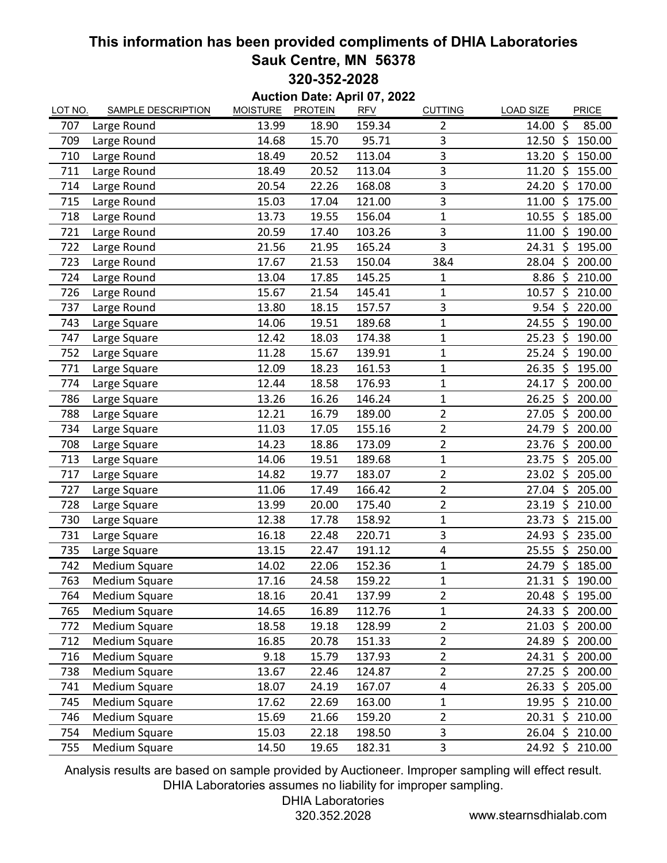## **This information has been provided compliments of DHIA Laboratories Sauk Centre, MN 56378 320-352-2028**

**Auction Date: April 07, 2022**

| LOT NO. | <b>SAMPLE DESCRIPTION</b> | <b>MOISTURE</b> | <b>PROTEIN</b> | <b>RFV</b> | <b>CUTTING</b> | <b>PRICE</b><br><b>LOAD SIZE</b> |
|---------|---------------------------|-----------------|----------------|------------|----------------|----------------------------------|
| 707     | Large Round               | 13.99           | 18.90          | 159.34     | $\overline{2}$ | $\zeta$<br>14.00<br>85.00        |
| 709     | Large Round               | 14.68           | 15.70          | 95.71      | 3              | $12.50~\text{S}$<br>150.00       |
| 710     | Large Round               | 18.49           | 20.52          | 113.04     | 3              | -\$<br>150.00<br>13.20           |
| 711     | Large Round               | 18.49           | 20.52          | 113.04     | 3              | 11.20<br>\$<br>155.00            |
| 714     | Large Round               | 20.54           | 22.26          | 168.08     | 3              | 24.20<br>\$<br>170.00            |
| 715     | Large Round               | 15.03           | 17.04          | 121.00     | 3              | 11.00 \$<br>175.00               |
| 718     | Large Round               | 13.73           | 19.55          | 156.04     | $\mathbf{1}$   | $\zeta$<br>10.55<br>185.00       |
| 721     | Large Round               | 20.59           | 17.40          | 103.26     | 3              | \$<br>11.00<br>190.00            |
| 722     | Large Round               | 21.56           | 21.95          | 165.24     | 3              | S.<br>24.31<br>195.00            |
| 723     | Large Round               | 17.67           | 21.53          | 150.04     | 3&4            | 28.04<br>\$<br>200.00            |
| 724     | Large Round               | 13.04           | 17.85          | 145.25     | 1              | 8.86<br>\$<br>210.00             |
| 726     | Large Round               | 15.67           | 21.54          | 145.41     | 1              | \$<br>10.57<br>210.00            |
| 737     | Large Round               | 13.80           | 18.15          | 157.57     | 3              | $\zeta$<br>220.00<br>9.54        |
| 743     | Large Square              | 14.06           | 19.51          | 189.68     | $\mathbf{1}$   | -\$<br>190.00<br>24.55           |
| 747     | Large Square              | 12.42           | 18.03          | 174.38     | $\mathbf 1$    | Ŝ.<br>25.23<br>190.00            |
| 752     | Large Square              | 11.28           | 15.67          | 139.91     | $\overline{1}$ | \$<br>25.24<br>190.00            |
| 771     | Large Square              | 12.09           | 18.23          | 161.53     | $\mathbf 1$    | $26.35 \; \simeq$<br>195.00      |
| 774     | Large Square              | 12.44           | 18.58          | 176.93     | $\mathbf{1}$   | $\zeta$<br>24.17<br>200.00       |
| 786     | Large Square              | 13.26           | 16.26          | 146.24     | $\mathbf 1$    | 26.25<br>\$<br>200.00            |
| 788     | Large Square              | 12.21           | 16.79          | 189.00     | $\overline{2}$ | \$<br>200.00<br>27.05            |
| 734     | Large Square              | 11.03           | 17.05          | 155.16     | $\overline{2}$ | 24.79<br>\$<br>200.00            |
| 708     | Large Square              | 14.23           | 18.86          | 173.09     | $\overline{2}$ | 23.76<br>200.00<br>\$            |
| 713     | Large Square              | 14.06           | 19.51          | 189.68     | $\mathbf{1}$   | \$<br>23.75<br>205.00            |
| 717     | Large Square              | 14.82           | 19.77          | 183.07     | $\overline{2}$ | $\zeta$<br>205.00<br>23.02       |
| 727     | Large Square              | 11.06           | 17.49          | 166.42     | $\overline{2}$ | $27.04$ \$<br>205.00             |
| 728     | Large Square              | 13.99           | 20.00          | 175.40     | $\sqrt{2}$     | 23.19<br>\$<br>210.00            |
| 730     | Large Square              | 12.38           | 17.78          | 158.92     | $\mathbf{1}$   | \$<br>215.00<br>23.73            |
| 731     | Large Square              | 16.18           | 22.48          | 220.71     | 3              | \$<br>235.00<br>24.93            |
| 735     | Large Square              | 13.15           | 22.47          | 191.12     | 4              | \$<br>25.55<br>250.00            |
| 742     | Medium Square             | 14.02           | 22.06          | 152.36     | $\mathbf{1}$   | \$<br>24.79<br>185.00            |
| 763     | Medium Square             | 17.16           | 24.58          | 159.22     | $\mathbf{1}$   | 21.31 \$ 190.00                  |
| 764     | Medium Square             | 18.16           | 20.41          | 137.99     | $\overline{2}$ | $20.48 \; \zeta$<br>195.00       |
| 765     | Medium Square             | 14.65           | 16.89          | 112.76     | $\mathbf{1}$   | $24.33 \; \zeta$<br>200.00       |
| 772     | Medium Square             | 18.58           | 19.18          | 128.99     | $\overline{2}$ | $21.03 \; \simeq$<br>200.00      |
| 712     | Medium Square             | 16.85           | 20.78          | 151.33     | 2              | $24.89$ \$<br>200.00             |
| 716     | Medium Square             | 9.18            | 15.79          | 137.93     | $\overline{2}$ | $24.31 \; \simeq$<br>200.00      |
| 738     | Medium Square             | 13.67           | 22.46          | 124.87     | $\overline{2}$ | $27.25$ \$<br>200.00             |
| 741     | Medium Square             | 18.07           | 24.19          | 167.07     | 4              | $26.33 \; \text{S}$<br>205.00    |
| 745     | Medium Square             | 17.62           | 22.69          | 163.00     | $\mathbf{1}$   | $19.95 \; \zeta$<br>210.00       |
| 746     | Medium Square             | 15.69           | 21.66          | 159.20     | $\overline{2}$ | 20.31 \$<br>210.00               |
| 754     | Medium Square             | 15.03           | 22.18          | 198.50     | 3              | $26.04 \; \simeq$<br>210.00      |
| 755     | Medium Square             | 14.50           | 19.65          | 182.31     | 3              | 24.92 \$ 210.00                  |

Analysis results are based on sample provided by Auctioneer. Improper sampling will effect result. DHIA Laboratories assumes no liability for improper sampling.

DHIA Laboratories